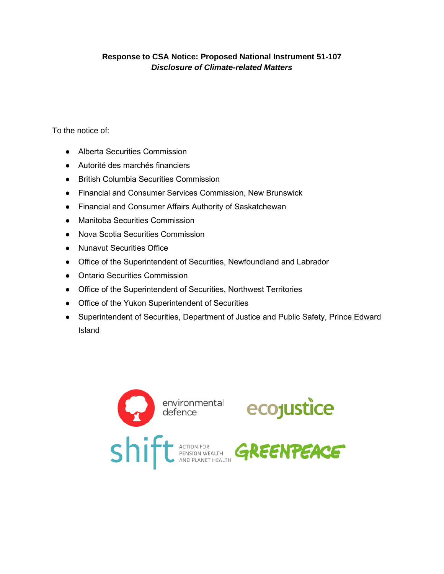# **Response to CSA Notice: Proposed National Instrument 51-107**  *Disclosure of Climate-related Matters*

To the notice of:

- Alberta Securities Commission
- Autorité des marchés financiers
- British Columbia Securities Commission
- Financial and Consumer Services Commission, New Brunswick
- Financial and Consumer Affairs Authority of Saskatchewan
- Manitoba Securities Commission
- Nova Scotia Securities Commission
- Nunavut Securities Office
- Office of the Superintendent of Securities, Newfoundland and Labrador
- Ontario Securities Commission
- Office of the Superintendent of Securities, Northwest Territories
- Office of the Yukon Superintendent of Securities
- Superintendent of Securities, Department of Justice and Public Safety, Prince Edward Island

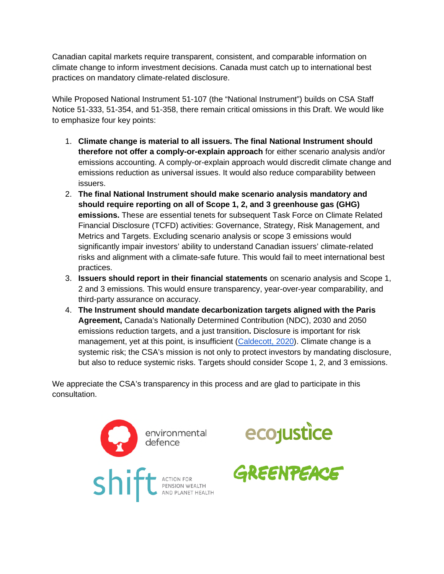Canadian capital markets require transparent, consistent, and comparable information on climate change to inform investment decisions. Canada must catch up to international best practices on mandatory climate-related disclosure.

While Proposed National Instrument 51-107 (the "National Instrument") builds on CSA Staff Notice 51-333, 51-354, and 51-358, there remain critical omissions in this Draft. We would like to emphasize four key points:

- 1. **Climate change is material to all issuers. The final National Instrument should therefore not offer a comply-or-explain approach** for either scenario analysis and/or emissions accounting. A comply-or-explain approach would discredit climate change and emissions reduction as universal issues. It would also reduce comparability between issuers.
- 2. **The final National Instrument should make scenario analysis mandatory and should require reporting on all of Scope 1, 2, and 3 greenhouse gas (GHG) emissions.** These are essential tenets for subsequent Task Force on Climate Related Financial Disclosure (TCFD) activities: Governance, Strategy, Risk Management, and Metrics and Targets. Excluding scenario analysis or scope 3 emissions would significantly impair investors' ability to understand Canadian issuers' climate-related risks and alignment with a climate-safe future. This would fail to meet international best practices.
- 3. **Issuers should report in their financial statements** on scenario analysis and Scope 1, 2 and 3 emissions. This would ensure transparency, year-over-year comparability, and third-party assurance on accuracy.
- 4. **The Instrument should mandate decarbonization targets aligned with the Paris Agreement,** Canada's Nationally Determined Contribution (NDC), 2030 and 2050 emissions reduction targets, and a just transition**.** Disclosure is important for risk management, yet at this point, is insufficient (Caldecott, 2020). Climate change is a systemic risk; the CSA's mission is not only to protect investors by mandating disclosure, but also to reduce systemic risks. Targets should consider Scope 1, 2, and 3 emissions.

We appreciate the CSA's transparency in this process and are glad to participate in this consultation.





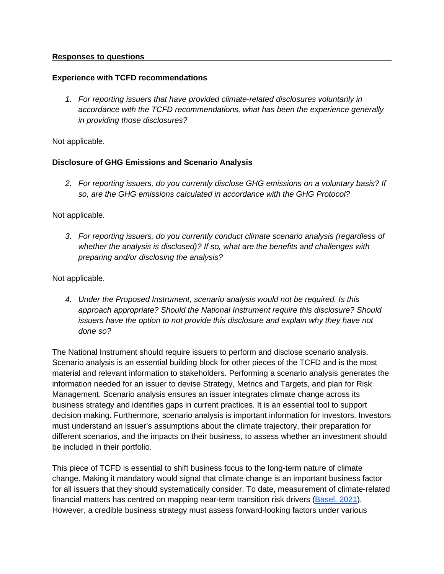### **Responses to questions**

### **Experience with TCFD recommendations**

*1. For reporting issuers that have provided climate-related disclosures voluntarily in accordance with the TCFD recommendations, what has been the experience generally in providing those disclosures?* 

Not applicable.

### **Disclosure of GHG Emissions and Scenario Analysis**

*2. For reporting issuers, do you currently disclose GHG emissions on a voluntary basis? If so, are the GHG emissions calculated in accordance with the GHG Protocol?* 

Not applicable.

*3. For reporting issuers, do you currently conduct climate scenario analysis (regardless of whether the analysis is disclosed)? If so, what are the benefits and challenges with preparing and/or disclosing the analysis?* 

Not applicable.

*4. Under the Proposed Instrument, scenario analysis would not be required. Is this approach appropriate? Should the National Instrument require this disclosure? Should issuers have the option to not provide this disclosure and explain why they have not done so?* 

The National Instrument should require issuers to perform and disclose scenario analysis. Scenario analysis is an essential building block for other pieces of the TCFD and is the most material and relevant information to stakeholders. Performing a scenario analysis generates the information needed for an issuer to devise Strategy, Metrics and Targets, and plan for Risk Management. Scenario analysis ensures an issuer integrates climate change across its business strategy and identifies gaps in current practices. It is an essential tool to support decision making. Furthermore, scenario analysis is important information for investors. Investors must understand an issuer's assumptions about the climate trajectory, their preparation for different scenarios, and the impacts on their business, to assess whether an investment should be included in their portfolio.

This piece of TCFD is essential to shift business focus to the long-term nature of climate change. Making it mandatory would signal that climate change is an important business factor for all issuers that they should systematically consider. To date, measurement of climate-related financial matters has centred on mapping near-term transition risk drivers (Basel, 2021). However, a credible business strategy must assess forward-looking factors under various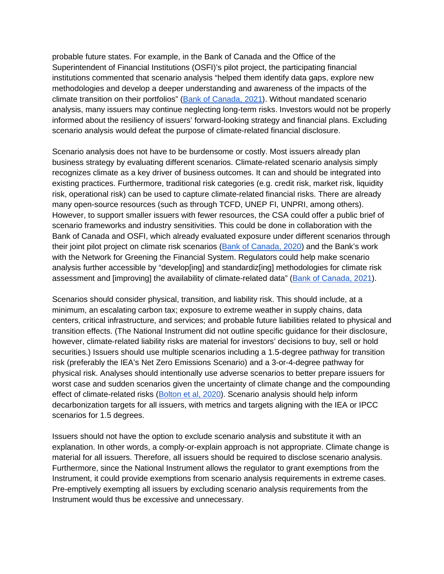probable future states. For example, in the Bank of Canada and the Office of the Superintendent of Financial Institutions (OSFI)'s pilot project, the participating financial institutions commented that scenario analysis "helped them identify data gaps, explore new methodologies and develop a deeper understanding and awareness of the impacts of the climate transition on their portfolios" (Bank of Canada, 2021). Without mandated scenario analysis, many issuers may continue neglecting long-term risks. Investors would not be properly informed about the resiliency of issuers' forward-looking strategy and financial plans. Excluding scenario analysis would defeat the purpose of climate-related financial disclosure.

Scenario analysis does not have to be burdensome or costly. Most issuers already plan business strategy by evaluating different scenarios. Climate-related scenario analysis simply recognizes climate as a key driver of business outcomes. It can and should be integrated into existing practices. Furthermore, traditional risk categories (e.g. credit risk, market risk, liquidity risk, operational risk) can be used to capture climate-related financial risks. There are already many open-source resources (such as through TCFD, UNEP FI, UNPRI, among others). However, to support smaller issuers with fewer resources, the CSA could offer a public brief of scenario frameworks and industry sensitivities. This could be done in collaboration with the Bank of Canada and OSFI, which already evaluated exposure under different scenarios through their joint pilot project on climate risk scenarios (Bank of Canada, 2020) and the Bank's work with the Network for Greening the Financial System. Regulators could help make scenario analysis further accessible by "develop[ing] and standardiz[ing] methodologies for climate risk assessment and [improving] the availability of climate-related data" (Bank of Canada, 2021).

Scenarios should consider physical, transition, and liability risk. This should include, at a minimum, an escalating carbon tax; exposure to extreme weather in supply chains, data centers, critical infrastructure, and services; and probable future liabilities related to physical and transition effects. (The National Instrument did not outline specific guidance for their disclosure, however, climate-related liability risks are material for investors' decisions to buy, sell or hold securities.) Issuers should use multiple scenarios including a 1.5-degree pathway for transition risk (preferably the IEA's Net Zero Emissions Scenario) and a 3-or-4-degree pathway for physical risk. Analyses should intentionally use adverse scenarios to better prepare issuers for worst case and sudden scenarios given the uncertainty of climate change and the compounding effect of climate-related risks (Bolton et al, 2020). Scenario analysis should help inform decarbonization targets for all issuers, with metrics and targets aligning with the IEA or IPCC scenarios for 1.5 degrees.

Issuers should not have the option to exclude scenario analysis and substitute it with an explanation. In other words, a comply-or-explain approach is not appropriate. Climate change is material for all issuers. Therefore, all issuers should be required to disclose scenario analysis. Furthermore, since the National Instrument allows the regulator to grant exemptions from the Instrument, it could provide exemptions from scenario analysis requirements in extreme cases. Pre-emptively exempting all issuers by excluding scenario analysis requirements from the Instrument would thus be excessive and unnecessary.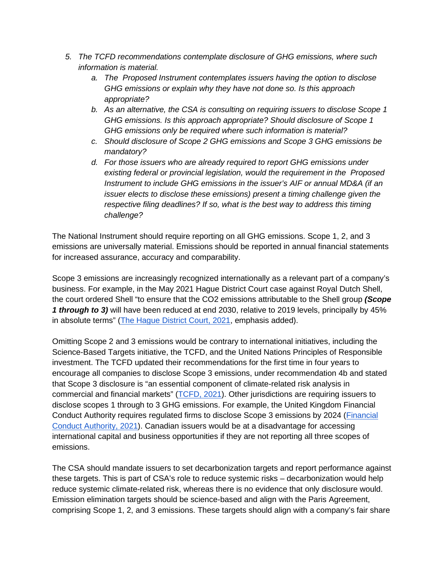- *5. The TCFD recommendations contemplate disclosure of GHG emissions, where such information is material.* 
	- *a. The Proposed Instrument contemplates issuers having the option to disclose GHG emissions or explain why they have not done so. Is this approach appropriate?*
	- *b. As an alternative, the CSA is consulting on requiring issuers to disclose Scope 1 GHG emissions. Is this approach appropriate? Should disclosure of Scope 1 GHG emissions only be required where such information is material?*
	- *c. Should disclosure of Scope 2 GHG emissions and Scope 3 GHG emissions be mandatory?*
	- *d. For those issuers who are already required to report GHG emissions under existing federal or provincial legislation, would the requirement in the Proposed Instrument to include GHG emissions in the issuer's AIF or annual MD&A (if an issuer elects to disclose these emissions) present a timing challenge given the respective filing deadlines? If so, what is the best way to address this timing challenge?*

The National Instrument should require reporting on all GHG emissions. Scope 1, 2, and 3 emissions are universally material. Emissions should be reported in annual financial statements for increased assurance, accuracy and comparability.

Scope 3 emissions are increasingly recognized internationally as a relevant part of a company's business. For example, in the May 2021 Hague District Court case against Royal Dutch Shell, the court ordered Shell "to ensure that the CO2 emissions attributable to the Shell group *(Scope 1 through to 3)* will have been reduced at end 2030, relative to 2019 levels, principally by 45% in absolute terms" (The Hague District Court, 2021, emphasis added).

Omitting Scope 2 and 3 emissions would be contrary to international initiatives, including the Science-Based Targets initiative, the TCFD, and the United Nations Principles of Responsible investment. The TCFD updated their recommendations for the first time in four years to encourage all companies to disclose Scope 3 emissions, under recommendation 4b and stated that Scope 3 disclosure is "an essential component of climate-related risk analysis in commercial and financial markets" (TCFD, 2021). Other jurisdictions are requiring issuers to disclose scopes 1 through to 3 GHG emissions. For example, the United Kingdom Financial Conduct Authority requires regulated firms to disclose Scope 3 emissions by 2024 (Financial Conduct Authority, 2021). Canadian issuers would be at a disadvantage for accessing international capital and business opportunities if they are not reporting all three scopes of emissions.

The CSA should mandate issuers to set decarbonization targets and report performance against these targets. This is part of CSA's role to reduce systemic risks – decarbonization would help reduce systemic climate-related risk, whereas there is no evidence that only disclosure would. Emission elimination targets should be science-based and align with the Paris Agreement, comprising Scope 1, 2, and 3 emissions. These targets should align with a company's fair share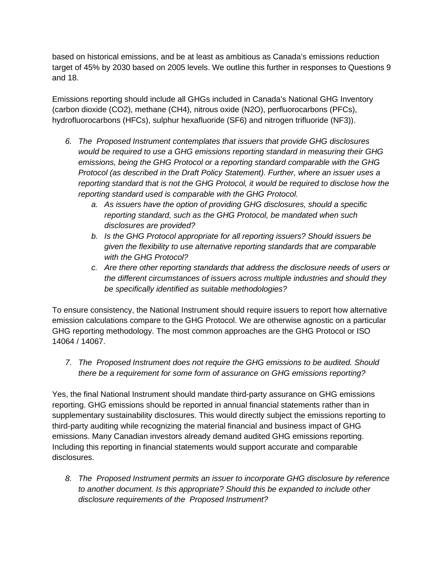based on historical emissions, and be at least as ambitious as Canada's emissions reduction target of 45% by 2030 based on 2005 levels. We outline this further in responses to Questions 9 and 18.

Emissions reporting should include all GHGs included in Canada's National GHG Inventory (carbon dioxide (CO2), methane (CH4), nitrous oxide (N2O), perfluorocarbons (PFCs), hydrofluorocarbons (HFCs), sulphur hexafluoride (SF6) and nitrogen trifluoride (NF3)).

- *6. The Proposed Instrument contemplates that issuers that provide GHG disclosures would be required to use a GHG emissions reporting standard in measuring their GHG emissions, being the GHG Protocol or a reporting standard comparable with the GHG Protocol (as described in the Draft Policy Statement). Further, where an issuer uses a reporting standard that is not the GHG Protocol, it would be required to disclose how the reporting standard used is comparable with the GHG Protocol.* 
	- *a. As issuers have the option of providing GHG disclosures, should a specific reporting standard, such as the GHG Protocol, be mandated when such disclosures are provided?*
	- *b. Is the GHG Protocol appropriate for all reporting issuers? Should issuers be given the flexibility to use alternative reporting standards that are comparable with the GHG Protocol?*
	- *c. Are there other reporting standards that address the disclosure needs of users or the different circumstances of issuers across multiple industries and should they be specifically identified as suitable methodologies?*

To ensure consistency, the National Instrument should require issuers to report how alternative emission calculations compare to the GHG Protocol. We are otherwise agnostic on a particular GHG reporting methodology. The most common approaches are the GHG Protocol or ISO 14064 / 14067.

*7. The Proposed Instrument does not require the GHG emissions to be audited. Should there be a requirement for some form of assurance on GHG emissions reporting?* 

Yes, the final National Instrument should mandate third-party assurance on GHG emissions reporting. GHG emissions should be reported in annual financial statements rather than in supplementary sustainability disclosures. This would directly subject the emissions reporting to third-party auditing while recognizing the material financial and business impact of GHG emissions. Many Canadian investors already demand audited GHG emissions reporting. Including this reporting in financial statements would support accurate and comparable disclosures.

*8. The Proposed Instrument permits an issuer to incorporate GHG disclosure by reference to another document. Is this appropriate? Should this be expanded to include other disclosure requirements of the Proposed Instrument?*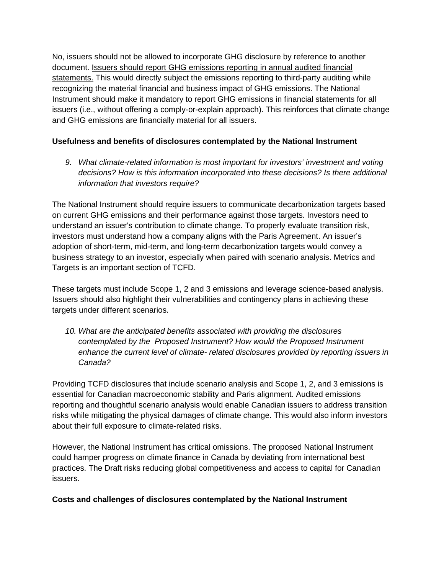No, issuers should not be allowed to incorporate GHG disclosure by reference to another document. Issuers should report GHG emissions reporting in annual audited financial statements. This would directly subject the emissions reporting to third-party auditing while recognizing the material financial and business impact of GHG emissions. The National Instrument should make it mandatory to report GHG emissions in financial statements for all issuers (i.e., without offering a comply-or-explain approach). This reinforces that climate change and GHG emissions are financially material for all issuers.

# **Usefulness and benefits of disclosures contemplated by the National Instrument**

*9. What climate-related information is most important for investors' investment and voting decisions? How is this information incorporated into these decisions? Is there additional information that investors require?* 

The National Instrument should require issuers to communicate decarbonization targets based on current GHG emissions and their performance against those targets. Investors need to understand an issuer's contribution to climate change. To properly evaluate transition risk, investors must understand how a company aligns with the Paris Agreement. An issuer's adoption of short-term, mid-term, and long-term decarbonization targets would convey a business strategy to an investor, especially when paired with scenario analysis. Metrics and Targets is an important section of TCFD.

These targets must include Scope 1, 2 and 3 emissions and leverage science-based analysis. Issuers should also highlight their vulnerabilities and contingency plans in achieving these targets under different scenarios.

*10. What are the anticipated benefits associated with providing the disclosures contemplated by the Proposed Instrument? How would the Proposed Instrument enhance the current level of climate- related disclosures provided by reporting issuers in Canada?* 

Providing TCFD disclosures that include scenario analysis and Scope 1, 2, and 3 emissions is essential for Canadian macroeconomic stability and Paris alignment. Audited emissions reporting and thoughtful scenario analysis would enable Canadian issuers to address transition risks while mitigating the physical damages of climate change. This would also inform investors about their full exposure to climate-related risks.

However, the National Instrument has critical omissions. The proposed National Instrument could hamper progress on climate finance in Canada by deviating from international best practices. The Draft risks reducing global competitiveness and access to capital for Canadian issuers.

# **Costs and challenges of disclosures contemplated by the National Instrument**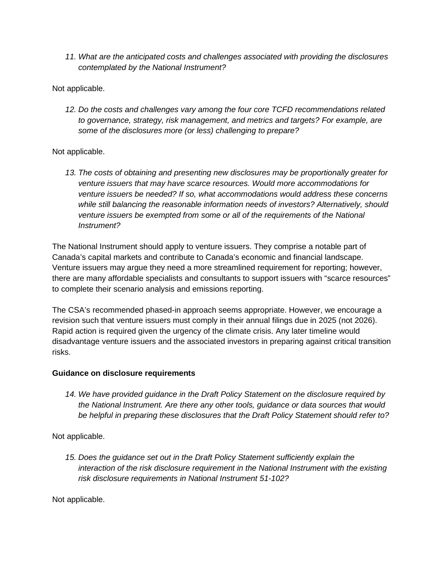*11. What are the anticipated costs and challenges associated with providing the disclosures contemplated by the National Instrument?* 

Not applicable.

*12. Do the costs and challenges vary among the four core TCFD recommendations related to governance, strategy, risk management, and metrics and targets? For example, are some of the disclosures more (or less) challenging to prepare?* 

Not applicable.

*13. The costs of obtaining and presenting new disclosures may be proportionally greater for venture issuers that may have scarce resources. Would more accommodations for venture issuers be needed? If so, what accommodations would address these concerns while still balancing the reasonable information needs of investors? Alternatively, should venture issuers be exempted from some or all of the requirements of the National Instrument?* 

The National Instrument should apply to venture issuers. They comprise a notable part of Canada's capital markets and contribute to Canada's economic and financial landscape. Venture issuers may argue they need a more streamlined requirement for reporting; however, there are many affordable specialists and consultants to support issuers with "scarce resources" to complete their scenario analysis and emissions reporting.

The CSA's recommended phased-in approach seems appropriate. However, we encourage a revision such that venture issuers must comply in their annual filings due in 2025 (not 2026). Rapid action is required given the urgency of the climate crisis. Any later timeline would disadvantage venture issuers and the associated investors in preparing against critical transition risks.

### **Guidance on disclosure requirements**

*14. We have provided guidance in the Draft Policy Statement on the disclosure required by the National Instrument. Are there any other tools, guidance or data sources that would be helpful in preparing these disclosures that the Draft Policy Statement should refer to?* 

Not applicable.

*15. Does the guidance set out in the Draft Policy Statement sufficiently explain the interaction of the risk disclosure requirement in the National Instrument with the existing risk disclosure requirements in National Instrument 51-102?* 

Not applicable.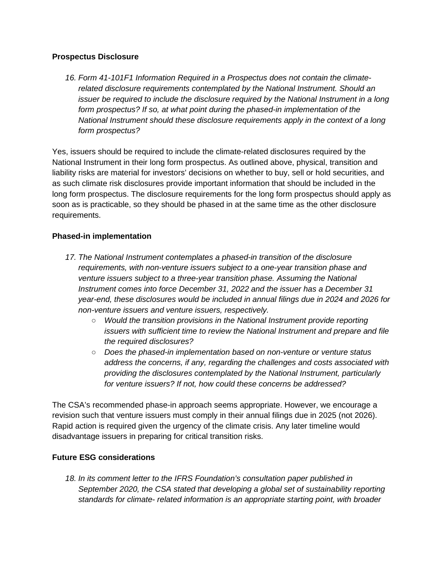### **Prospectus Disclosure**

*16. Form 41-101F1 Information Required in a Prospectus does not contain the climaterelated disclosure requirements contemplated by the National Instrument. Should an issuer be required to include the disclosure required by the National Instrument in a long form prospectus? If so, at what point during the phased-in implementation of the National Instrument should these disclosure requirements apply in the context of a long form prospectus?* 

Yes, issuers should be required to include the climate-related disclosures required by the National Instrument in their long form prospectus. As outlined above, physical, transition and liability risks are material for investors' decisions on whether to buy, sell or hold securities, and as such climate risk disclosures provide important information that should be included in the long form prospectus. The disclosure requirements for the long form prospectus should apply as soon as is practicable, so they should be phased in at the same time as the other disclosure requirements.

# **Phased-in implementation**

- *17. The National Instrument contemplates a phased-in transition of the disclosure requirements, with non-venture issuers subject to a one-year transition phase and venture issuers subject to a three-year transition phase. Assuming the National Instrument comes into force December 31, 2022 and the issuer has a December 31 year-end, these disclosures would be included in annual filings due in 2024 and 2026 for non-venture issuers and venture issuers, respectively.* 
	- *Would the transition provisions in the National Instrument provide reporting issuers with sufficient time to review the National Instrument and prepare and file the required disclosures?*
	- *Does the phased-in implementation based on non-venture or venture status address the concerns, if any, regarding the challenges and costs associated with providing the disclosures contemplated by the National Instrument, particularly for venture issuers? If not, how could these concerns be addressed?*

The CSA's recommended phase-in approach seems appropriate. However, we encourage a revision such that venture issuers must comply in their annual filings due in 2025 (not 2026). Rapid action is required given the urgency of the climate crisis. Any later timeline would disadvantage issuers in preparing for critical transition risks.

# **Future ESG considerations**

18. In its comment letter to the IFRS Foundation's consultation paper published in *September 2020, the CSA stated that developing a global set of sustainability reporting standards for climate- related information is an appropriate starting point, with broader*